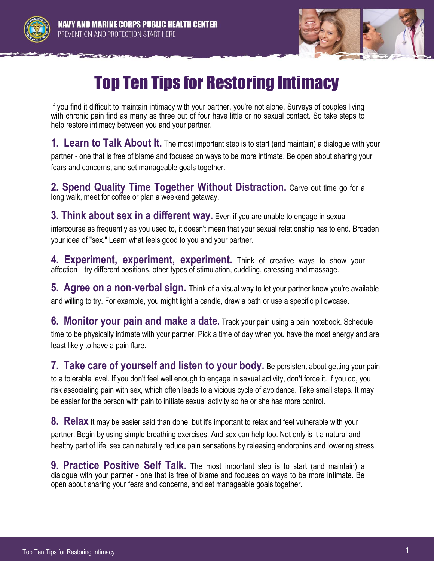



## Top Ten Tips for Restoring Intimacy

If you find it difficult to maintain intimacy with your partner, you're not alone. Surveys of couples living with chronic pain find as many as three out of four have little or no sexual contact. So take steps to help restore intimacy between you and your partner.

**1. Learn to Talk About It.** The most important step is to start (and maintain) a dialogue with your partner - one that is free of blame and focuses on ways to be more intimate. Be open about sharing your fears and concerns, and set manageable goals together.

**2. Spend Quality Time Together Without Distraction.** Carve out time go for a long walk, meet for coffee or plan a weekend getaway.

**3. Think about sex in a different way.** Even if you are unable to engage in sexual intercourse as frequently as you used to, it doesn't mean that your sexual relationship has to end. Broaden your idea of "sex." Learn what feels good to you and your partner.

**4. Experiment, experiment, experiment.** Think of creative ways to show your affection—try different positions, other types of stimulation, cuddling, caressing and massage.

**5. Agree on a non-verbal sign.** Think of a visual way to let your partner know you're available and willing to try. For example, you might light a candle, draw a bath or use a specific pillowcase.

**6. Monitor your pain and make a date.** Track your pain using a pain notebook. Schedule time to be physically intimate with your partner. Pick a time of day when you have the most energy and are least likely to have a pain flare.

**7. Take care of yourself and listen to your body.** Be persistent about getting your pain to a tolerable level. If you don't feel well enough to engage in sexual activity, don't force it. If you do, you risk associating pain with sex, which often leads to a vicious cycle of avoidance. Take small steps. It may be easier for the person with pain to initiate sexual activity so he or she has more control.

**8. Relax** It may be easier said than done, but it's important to relax and feel vulnerable with your partner. Begin by using simple breathing exercises. And sex can help too. Not only is it a natural and healthy part of life, sex can naturally reduce pain sensations by releasing endorphins and lowering stress.

**9. Practice Positive Self Talk.** The most important step is to start (and maintain) a dialogue with your partner - one that is free of blame and focuses on ways to be more intimate. Be open about sharing your fears and concerns, and set manageable goals together.